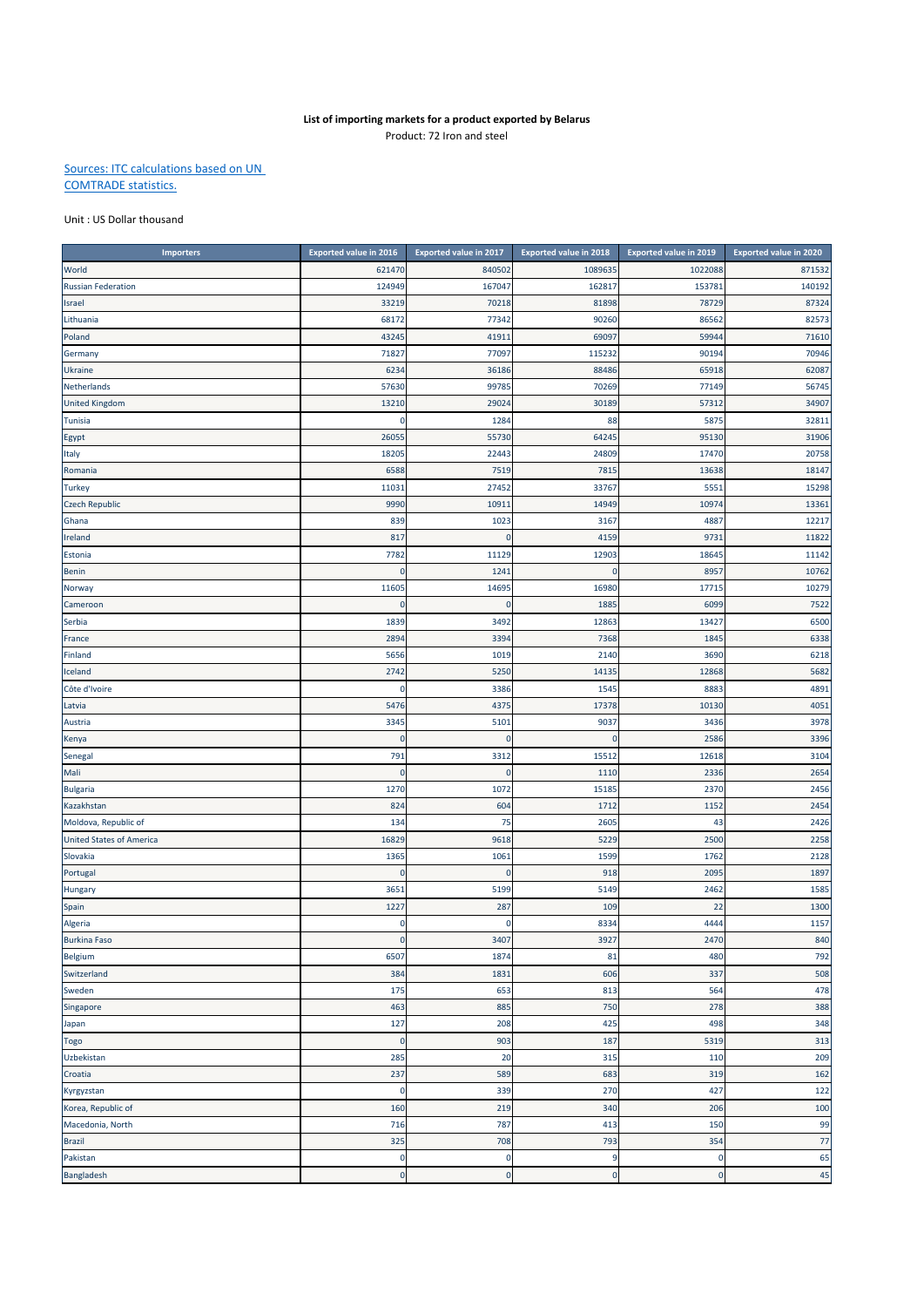## **List of importing markets for a product exported by Belarus** Product: 72 Iron and steel

## Sources: ITC calculations based on UN COMTRADE statistics.

## Unit : US Dollar thousand

| <b>Importers</b>                | <b>Exported value in 2016</b> | <b>Exported value in 2017</b> | <b>Exported value in 2018</b> | <b>Exported value in 2019</b> | Exported value in 2020 |
|---------------------------------|-------------------------------|-------------------------------|-------------------------------|-------------------------------|------------------------|
| World                           | 621470                        | 840502                        | 1089635                       | 1022088                       | 871532                 |
| <b>Russian Federation</b>       | 124949                        | 167047                        | 162817                        | 153781                        | 140192                 |
| Israel                          | 33219                         | 70218                         | 81898                         | 78729                         | 87324                  |
| Lithuania                       | 68172                         | 77342                         | 90260                         | 86562                         | 82573                  |
| Poland                          | 4324                          | 41911                         | 69097                         | 59944                         | 71610                  |
| Germany                         | 71827                         | 77097                         | 115232                        | 90194                         | 70946                  |
| Ukraine                         | 6234                          | 36186                         | 88486                         | 65918                         | 62087                  |
| Netherlands                     | 57630                         | 99785                         | 70269                         | 77149                         | 56745                  |
| <b>United Kingdom</b>           | 13210                         | 29024                         | 30189                         | 57312                         | 34907                  |
| Tunisia                         | 0                             | 1284                          | 88                            | 5875                          | 32811                  |
| Egypt                           | 2605                          | 55730                         | 64245                         | 95130                         | 31906                  |
| Italy                           | 18205                         | 22443                         | 24809                         | 17470                         | 20758                  |
| Romania                         | 6588                          | 7519                          | 7815                          | 13638                         | 18147                  |
| <b>Turkey</b>                   | 11031                         | 27452                         | 33767                         | 5551                          | 15298                  |
| <b>Czech Republic</b>           | 9990                          | 10911                         | 14949                         | 10974                         | 13361                  |
| Ghana                           | 839                           | 1023                          | 3167                          | 488                           | 12217                  |
| Ireland                         | 817                           | $\overline{0}$                | 4159                          | 9731                          | 11822                  |
| Estonia                         | 7782                          | 11129                         | 12903                         | 18645                         | 11142                  |
| Benin                           | $\Omega$                      | 1241                          | $\pmb{0}$                     | 8957                          | 10762                  |
| Norway                          | 11605                         | 14695                         | 16980                         | 17715                         | 10279                  |
| Cameroon                        | 0                             | O                             | 1885                          | 6099                          | 7522                   |
| Serbia                          | 1839                          | 3492                          | 12863                         | 13427                         | 6500                   |
| France                          | 2894                          | 3394                          | 7368                          | 1845                          | 6338                   |
| Finland                         | 5656                          | 1019                          | 2140                          | 3690                          | 6218                   |
| Iceland                         | 2742                          | 5250                          | 14135                         | 12868                         | 5682                   |
| Côte d'Ivoire                   | 0                             | 3386                          | 1545                          | 888                           | 4891                   |
| Latvia                          | 5476                          | 4375                          | 17378                         | 10130                         | 4051                   |
| Austria                         | 3345                          | 5101                          | 9037                          | 3436                          | 3978                   |
| Kenya                           | $\mathbf{0}$                  | $\mathbf 0$                   | $\pmb{0}$                     | 2586                          | 3396                   |
| Senegal                         | 791                           | 3312                          | 15512                         | 12618                         | 3104                   |
| Mali                            | $\mathbf 0$                   | O                             | 1110                          | 2336                          | 2654                   |
| <b>Bulgaria</b>                 | 1270                          | 1072                          | 15185                         | 2370                          | 2456                   |
| Kazakhstan                      | 824                           | 604                           | 1712                          | 1152                          | 2454                   |
| Moldova, Republic of            | 134                           | 75                            | 2605                          | 43                            | 2426                   |
| <b>United States of America</b> | 16829                         | 9618                          | 5229                          | 2500                          | 2258                   |
| Slovakia                        | 1365                          | 1061                          | 1599                          | 1762                          | 2128                   |
| Portugal                        | $\Omega$                      | $\mathbf 0$                   | 918                           | 2095                          | 1897                   |
| Hungary                         | 3651                          | 5199                          | 5149                          | 2462                          | 1585                   |
| Spain                           | 1227                          | 287                           | 109                           | 22                            | 1300                   |
| Algeria                         | $\mathbf 0$                   | $\mathbf 0$                   | 8334                          | 4444                          | 1157                   |
| <b>Burkina Faso</b>             | $\mathbf 0$                   | 3407                          | 3927                          | 2470                          | 840                    |
| Belgium                         | 6507                          | 1874                          | 81                            | 480                           | 792                    |
| Switzerland                     | 384                           | 1831                          | 606                           | 337                           | 508                    |
| Sweden                          | 175                           | 653                           | 813                           | 564                           | 478                    |
| Singapore                       | 463                           | 885                           | 750                           | 278                           | 388                    |
| Japan                           | 127                           | 208                           | 425                           | 498                           | 348                    |
| Togo                            | $\mathbf 0$                   | 903                           | 187                           | 5319                          | 313                    |
| Uzbekistan                      | 285                           | 20                            | 315                           | 110                           | 209                    |
| Croatia                         | 237                           | 589                           | 683                           | 319                           | 162                    |
| Kyrgyzstan                      | $\mathbf 0$                   | 339                           | 270                           | 427                           | 122                    |
| Korea, Republic of              | 160                           | 219                           | 340                           | 206                           | 100                    |
| Macedonia, North                | 716                           | 787                           | 413                           | 150                           | 99                     |
| <b>Brazil</b>                   | 325                           | 708                           | 793                           | 354                           | 77                     |
| Pakistan                        | 0                             | O                             | 9                             | O                             | 65                     |
| Bangladesh                      | $\mathbf 0$                   | $\mathbf 0$                   | $\mathbf 0$                   | $\bf{0}$                      | 45                     |